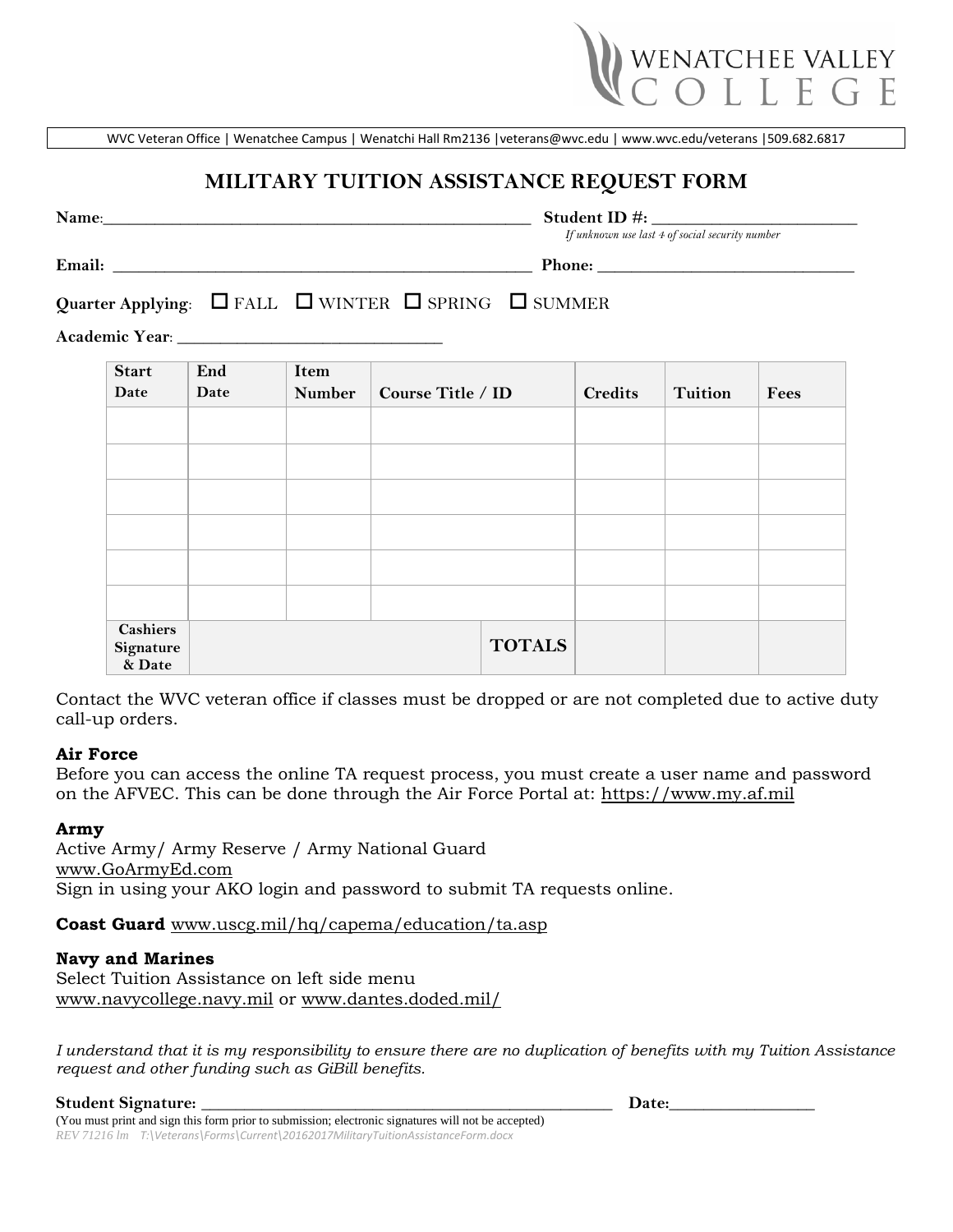

WVC Veteran Office | Wenatchee Campus | Wenatchi Hall Rm2136 [|veterans@wvc.edu](mailto:veterans@wvc.edu) [| www.wvc.edu/veterans](http://www.wvc.edu/veterans) |509.682.6817

# **MILITARY TUITION ASSISTANCE REQUEST FORM**

**Name**:\_\_\_\_\_\_\_\_\_\_\_\_\_\_\_\_\_\_\_\_\_\_\_\_\_\_\_\_\_\_\_\_\_\_\_\_\_\_\_\_\_\_\_\_\_\_\_\_\_\_ **Student ID #:** \_\_\_\_\_\_\_\_\_\_\_\_\_\_\_\_\_\_\_\_\_\_\_\_

*If unknown use last 4 of social security number*

**Email: \_\_\_\_\_\_\_\_\_\_\_\_\_\_\_\_\_\_\_\_\_\_\_\_\_\_\_\_\_\_\_\_\_\_\_\_\_\_\_\_\_\_\_\_\_\_\_\_\_ Phone: \_\_\_\_\_\_\_\_\_\_\_\_\_\_\_\_\_\_\_\_\_\_\_\_\_\_\_\_\_\_**

# Quarter Applying:  $\Box$  FALL  $\Box$  WINTER  $\Box$  SPRING  $\Box$  SUMMER

**Academic Year**: \_\_\_\_\_\_\_\_\_\_\_\_\_\_\_\_\_\_\_\_\_\_\_\_\_\_\_\_\_\_\_

| <b>Start</b>                           | End  | Item          |                          |               |                |                |      |
|----------------------------------------|------|---------------|--------------------------|---------------|----------------|----------------|------|
| Date                                   | Date | <b>Number</b> | <b>Course Title / ID</b> |               | <b>Credits</b> | <b>Tuition</b> | Fees |
|                                        |      |               |                          |               |                |                |      |
|                                        |      |               |                          |               |                |                |      |
|                                        |      |               |                          |               |                |                |      |
|                                        |      |               |                          |               |                |                |      |
|                                        |      |               |                          |               |                |                |      |
|                                        |      |               |                          |               |                |                |      |
| <b>Cashiers</b><br>Signature<br>& Date |      |               |                          | <b>TOTALS</b> |                |                |      |

Contact the WVC veteran office if classes must be dropped or are not completed due to active duty call-up orders.

# **Air Force**

Before you can access the online TA request process, you must create a user name and password on the AFVEC. This can be done through the Air Force Portal at: [https://www.my.af.mil](https://www.my.af.mil/)

# **Army**

Active Army/ Army Reserve / Army National Guard [www.GoArmyEd.com](http://www.goarmyed.com/) Sign in using your AKO login and password to submit TA requests online.

**Coast Guard** [www.uscg.mil/hq/capema/education/ta.asp](file://///wvcstorage/departments/faid/Veterans/Forms/Current/www.uscg.mil/hq/capema/education/ta.asp)

# **Navy and Marines**

Select Tuition Assistance on left side menu [www.navycollege.navy.mil](http://www.navycollege.navy.mil/) or [www.dantes.doded.mil/](http://www.dantes.doded.mil/)

*I understand that it is my responsibility to ensure there are no duplication of benefits with my Tuition Assistance request and other funding such as GiBill benefits.* 

**Student Signature:** \_\_\_\_\_\_\_\_\_\_\_\_\_\_\_\_\_\_\_\_\_\_\_\_\_\_\_\_\_\_\_\_\_\_\_\_\_\_\_\_\_\_\_\_\_\_\_\_ **Date:**\_\_\_\_\_\_\_\_\_\_\_\_\_\_\_\_\_ (You must print and sign this form prior to submission; electronic signatures will not be accepted) *REV 71216 lm T:\Veterans\Forms\Current\20162017MilitaryTuitionAssistanceForm.docx*